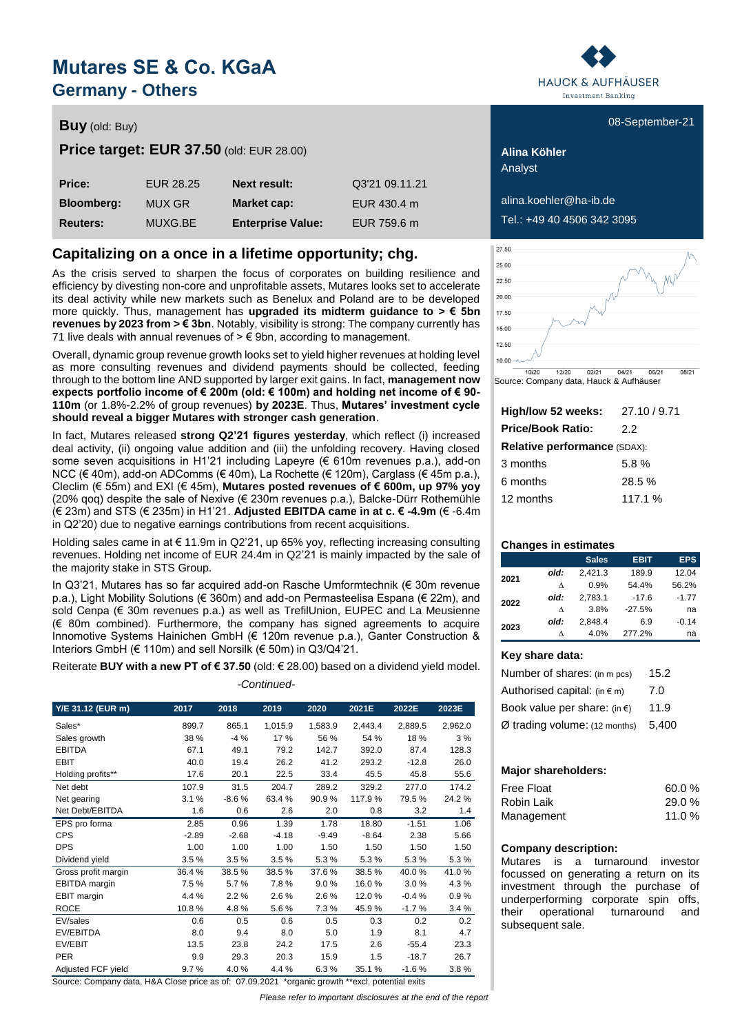# **Mutares SE & Co. KGaA Germany - Others**

### **Buy** (old: Buy) **Buy** (old: Buy) **COVID-21** (old: Buy) **COVID-21** (old: Buy) **COVID-21** (old: Buy) **COVID-21**

**Price target: EUR 37.50** (old: EUR 28.00) **Alina Köhler** 

| <b>Price:</b>     | <b>EUR 28.25</b> | <b>Next result:</b>      | Q3'21 09.11.21 |
|-------------------|------------------|--------------------------|----------------|
| <b>Bloomberg:</b> | MUX GR           | Market cap:              | EUR 430.4 m    |
| <b>Reuters:</b>   | MUXG.BE          | <b>Enterprise Value:</b> | EUR 759.6 m    |

### **Capitalizing on a once in a lifetime opportunity; chg.**

As the crisis served to sharpen the focus of corporates on building resilience and efficiency by divesting non-core and unprofitable assets, Mutares looks set to accelerate its deal activity while new markets such as Benelux and Poland are to be developed more quickly. Thus, management has **upgraded its midterm guidance to > € 5bn revenues by 2023 from > € 3bn**. Notably, visibility is strong: The company currently has 71 live deals with annual revenues of  $\geq \epsilon$  9bn, according to management.

Overall, dynamic group revenue growth looks set to yield higher revenues at holding level as more consulting revenues and dividend payments should be collected, feeding through to the bottom line AND supported by larger exit gains. In fact, **management now expects portfolio income of € 200m (old: € 100m) and holding net income of € 90- 110m** (or 1.8%-2.2% of group revenues) **by 2023E**. Thus, **Mutares' investment cycle should reveal a bigger Mutares with stronger cash generation**.

In fact, Mutares released **strong Q2'21 figures yesterday**, which reflect (i) increased deal activity, (ii) ongoing value addition and (iii) the unfolding recovery. Having closed some seven acquisitions in H1'21 including Lapeyre ( $\epsilon$  610m revenues p.a.), add-on NCC (€ 40m), add-on ADComms (€ 40m), La Rochette (€ 120m), Carglass (€ 45m p.a.), Cleclim (€ 55m) and EXI (€ 45m), **Mutares posted revenues of € 600m, up 97% yoy** (20% qoq) despite the sale of Nexive ( $\epsilon$  230m revenues p.a.), Balcke-Dürr Rothemühle (€ 23m) and STS (€ 235m) in H1'21. **Adjusted EBITDA came in at c. € -4.9m** (€ -6.4m in Q2'20) due to negative earnings contributions from recent acquisitions.

Holding sales came in at € 11.9m in Q2'21, up 65% yoy, reflecting increasing consulting revenues. Holding net income of EUR 24.4m in Q2'21 is mainly impacted by the sale of the majority stake in STS Group.

In Q3'21, Mutares has so far acquired add-on Rasche Umformtechnik (€ 30m revenue p.a.), Light Mobility Solutions (€ 360m) and add-on Permasteelisa Espana (€ 22m), and sold Cenpa (€ 30m revenues p.a.) as well as TrefilUnion, EUPEC and La Meusienne (€ 80m combined). Furthermore, the company has signed agreements to acquire Innomotive Systems Hainichen GmbH (€ 120m revenue p.a.), Ganter Construction & Interiors GmbH (€ 110m) and sell Norsilk (€ 50m) in Q3/Q4'21.

Reiterate **BUY with a new PT of € 37.50** (old: € 28.00) based on a dividend yield model. *-Continued-*

| Y/E 31.12 (EUR m)   | 2017    | 2018    | 2019    | 2020    | 2021E   | 2022E   | 2023E   |
|---------------------|---------|---------|---------|---------|---------|---------|---------|
| Sales*              | 899.7   | 865.1   | 1,015.9 | 1,583.9 | 2,443.4 | 2,889.5 | 2,962.0 |
| Sales growth        | 38 %    | $-4%$   | 17 %    | 56 %    | 54 %    | 18%     | 3%      |
| <b>EBITDA</b>       | 67.1    | 49.1    | 79.2    | 142.7   | 392.0   | 87.4    | 128.3   |
| <b>EBIT</b>         | 40.0    | 19.4    | 26.2    | 41.2    | 293.2   | $-12.8$ | 26.0    |
| Holding profits**   | 17.6    | 20.1    | 22.5    | 33.4    | 45.5    | 45.8    | 55.6    |
| Net debt            | 107.9   | 31.5    | 204.7   | 289.2   | 329.2   | 277.0   | 174.2   |
| Net gearing         | 3.1%    | $-8.6%$ | 63.4 %  | 90.9%   | 117.9%  | 79.5%   | 24.2 %  |
| Net Debt/EBITDA     | 1.6     | 0.6     | 2.6     | 2.0     | 0.8     | 3.2     | 1.4     |
| EPS pro forma       | 2.85    | 0.96    | 1.39    | 1.78    | 18.80   | $-1.51$ | 1.06    |
| <b>CPS</b>          | $-2.89$ | $-2.68$ | $-4.18$ | $-9.49$ | $-8.64$ | 2.38    | 5.66    |
| <b>DPS</b>          | 1.00    | 1.00    | 1.00    | 1.50    | 1.50    | 1.50    | 1.50    |
| Dividend yield      | 3.5%    | 3.5%    | 3.5%    | 5.3%    | 5.3%    | 5.3%    | 5.3%    |
| Gross profit margin | 36.4%   | 38.5%   | 38.5%   | 37.6%   | 38.5%   | 40.0%   | 41.0%   |
| EBITDA margin       | 7.5%    | 5.7%    | 7.8%    | 9.0%    | 16.0%   | 3.0%    | 4.3%    |
| EBIT margin         | 4.4 %   | 2.2%    | 2.6%    | 2.6%    | 12.0%   | $-0.4%$ | 0.9%    |
| <b>ROCE</b>         | 10.8%   | 4.8%    | 5.6%    | 7.3%    | 45.9%   | $-1.7%$ | 3.4%    |
| EV/sales            | 0.6     | 0.5     | 0.6     | 0.5     | 0.3     | 0.2     | 0.2     |
| EV/EBITDA           | 8.0     | 9.4     | 8.0     | 5.0     | 1.9     | 8.1     | 4.7     |
| EV/EBIT             | 13.5    | 23.8    | 24.2    | 17.5    | 2.6     | $-55.4$ | 23.3    |
| <b>PER</b>          | 9.9     | 29.3    | 20.3    | 15.9    | 1.5     | $-18.7$ | 26.7    |
| Adjusted FCF yield  | 9.7%    | 4.0%    | 4.4 %   | 6.3%    | 35.1 %  | $-1.6%$ | 3.8%    |

Source: Company data, H&A Close price as of: 07.09.2021 \*organic growth \*\*excl. potential exits

*Please refer to important disclosures at the end of the report*



Analyst

**Bloomberg:** MUX GR **Market cap:** EUR 430.4 m alina.koehler@ha-ib.de

**Reuters:** MUXG.BE **Enterprise Value:** EUR 759.6 m Tel.: +49 40 4506 342 3095



Source: Company data, Hauck & Aufhäuser

| High/low 52 weeks:           | 27.10/9.71 |
|------------------------------|------------|
| <b>Price/Book Ratio:</b>     | 22         |
| Relative performance (SDAX): |            |
| 3 months                     | 5.8%       |
| 6 months                     | 28.5%      |
| 12 months                    | 117.1%     |

### **Changes in estimates**

|      |      | <b>Sales</b> | <b>EBIT</b> | <b>EPS</b> |
|------|------|--------------|-------------|------------|
| 2021 | old: | 2.421.3      | 189.9       | 12.04      |
| Λ    |      | 0.9%         | 54.4%       | 56.2%      |
| 2022 | old: | 2.783.1      | $-17.6$     | $-1.77$    |
|      | Λ    | 3.8%         | $-27.5%$    | na         |
| 2023 | old: | 2.848.4      | 6.9         | $-0.14$    |
|      | л    | 4.0%         | 277.2%      | na         |

### **Key share data:**

| Number of shares: (in m pcs)           | 15.2  |
|----------------------------------------|-------|
| Authorised capital: $(in \in m)$       | 7.0   |
| Book value per share: (in $\epsilon$ ) | 11.9  |
| $Ø$ trading volume: (12 months)        | 5.400 |

### **Major shareholders:**

| <b>Free Float</b> | 60.0%    |
|-------------------|----------|
| Robin Laik        | 29.0 %   |
| Management        | 11.0 $%$ |

### **Company description:**

Mutares is a turnaround investor focussed on generating a return on its investment through the purchase of underperforming corporate spin offs, their operational turnaround and subsequent sale.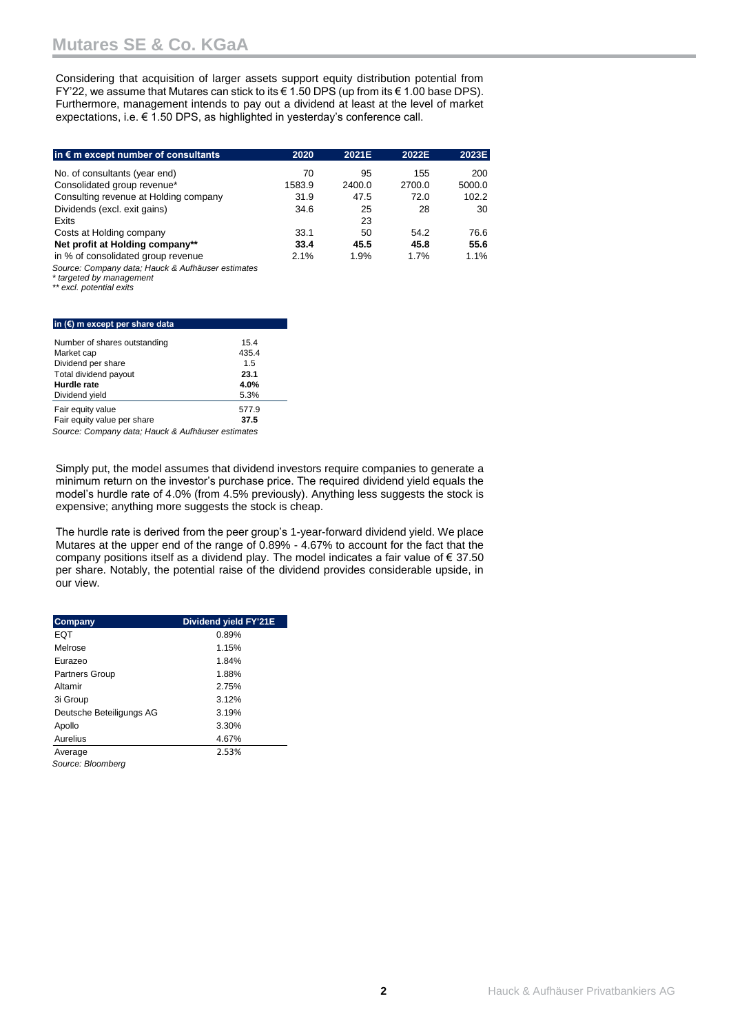Considering that acquisition of larger assets support equity distribution potential from FY'22, we assume that Mutares can stick to its € 1.50 DPS (up from its € 1.00 base DPS). Furthermore, management intends to pay out a dividend at least at the level of market expectations, i.e. € 1.50 DPS, as highlighted in yesterday's conference call.

| in $\epsilon$ m except number of consultants      | 2020   | 2021E  | 2022E  | 2023E  |
|---------------------------------------------------|--------|--------|--------|--------|
| No. of consultants (year end)                     | 70     | 95     | 155    | 200    |
| Consolidated group revenue*                       | 1583.9 | 2400.0 | 2700.0 | 5000.0 |
| Consulting revenue at Holding company             | 31.9   | 47.5   | 72.0   | 102.2  |
| Dividends (excl. exit gains)                      | 34.6   | 25     | 28     | 30     |
| Exits                                             |        | 23     |        |        |
| Costs at Holding company                          | 33.1   | 50     | 54.2   | 76.6   |
| Net profit at Holding company**                   | 33.4   | 45.5   | 45.8   | 55.6   |
| in % of consolidated group revenue                | 2.1%   | 1.9%   | 1.7%   | 1.1%   |
| Source: Company data; Hauck & Aufhäuser estimates |        |        |        |        |

*\* targeted by management*

*\*\* excl. potential exits*

#### **in (€) m except per share data**

| Number of shares outstanding                                      | 15.4  |
|-------------------------------------------------------------------|-------|
| Market cap                                                        | 435.4 |
| Dividend per share                                                | 1.5   |
| Total dividend payout                                             | 23.1  |
| Hurdle rate                                                       | 4.0%  |
| Dividend yield                                                    | 5.3%  |
| Fair equity value                                                 | 577.9 |
| Fair equity value per share                                       | 37.5  |
| $\sim$ $\sim$ $\sim$ $\sim$ $\sim$ $\sim$ $\sim$<br>$\sim$ $\sim$ | $-1$  |

*Source: Company data; Hauck & Aufhäuser estimates*

Simply put, the model assumes that dividend investors require companies to generate a minimum return on the investor's purchase price. The required dividend yield equals the model's hurdle rate of 4.0% (from 4.5% previously). Anything less suggests the stock is expensive; anything more suggests the stock is cheap.

The hurdle rate is derived from the peer group's 1-year-forward dividend yield. We place Mutares at the upper end of the range of 0.89% - 4.67% to account for the fact that the company positions itself as a dividend play. The model indicates a fair value of  $\epsilon$  37.50 per share. Notably, the potential raise of the dividend provides considerable upside, in our view.

| Company                  | Dividend yield FY'21E |
|--------------------------|-----------------------|
| EQT                      | 0.89%                 |
| Melrose                  | 1.15%                 |
| Eurazeo                  | 1.84%                 |
| <b>Partners Group</b>    | 1.88%                 |
| Altamir                  | 2.75%                 |
| 3i Group                 | 3.12%                 |
| Deutsche Beteiligungs AG | 3.19%                 |
| Apollo                   | 3.30%                 |
| Aurelius                 | 4.67%                 |
| Average                  | 2.53%                 |
| Source: Bloomberg        |                       |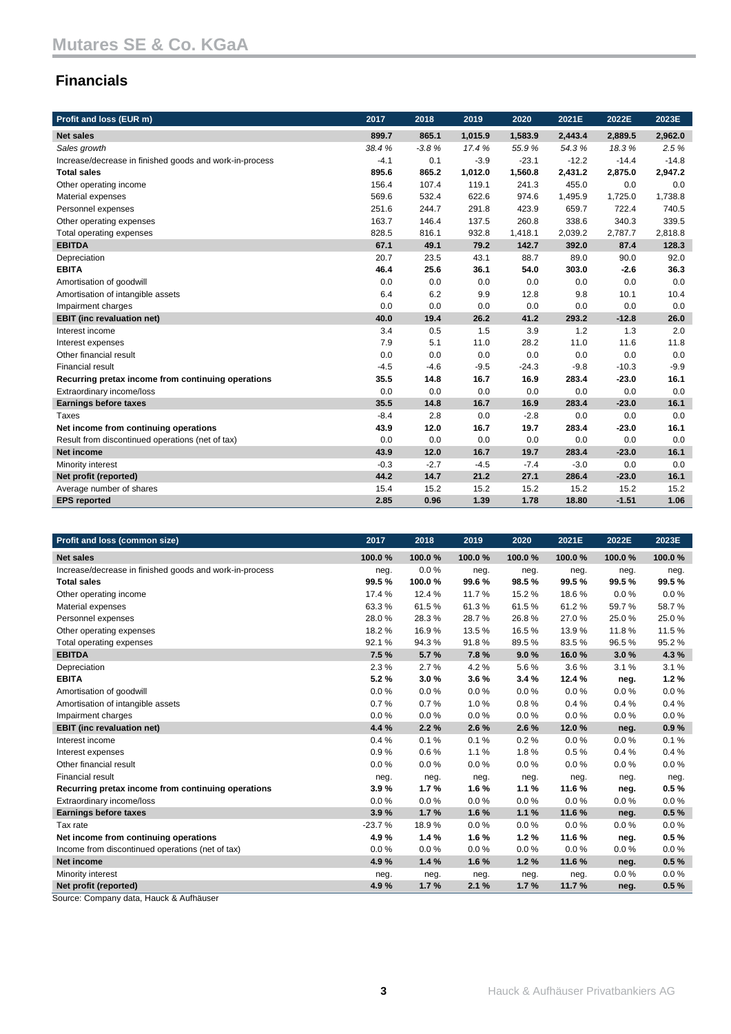## **Financials**

| Profit and loss (EUR m)                                 | 2017   | 2018    | 2019    | 2020    | 2021E   | 2022E   | 2023E   |
|---------------------------------------------------------|--------|---------|---------|---------|---------|---------|---------|
| <b>Net sales</b>                                        | 899.7  | 865.1   | 1,015.9 | 1,583.9 | 2,443.4 | 2,889.5 | 2,962.0 |
| Sales growth                                            | 38.4%  | $-3.8%$ | 17.4 %  | 55.9%   | 54.3%   | 18.3%   | 2.5%    |
| Increase/decrease in finished goods and work-in-process | $-4.1$ | 0.1     | $-3.9$  | $-23.1$ | $-12.2$ | $-14.4$ | $-14.8$ |
| <b>Total sales</b>                                      | 895.6  | 865.2   | 1,012.0 | 1,560.8 | 2,431.2 | 2,875.0 | 2,947.2 |
| Other operating income                                  | 156.4  | 107.4   | 119.1   | 241.3   | 455.0   | 0.0     | 0.0     |
| Material expenses                                       | 569.6  | 532.4   | 622.6   | 974.6   | 1,495.9 | 1,725.0 | 1,738.8 |
| Personnel expenses                                      | 251.6  | 244.7   | 291.8   | 423.9   | 659.7   | 722.4   | 740.5   |
| Other operating expenses                                | 163.7  | 146.4   | 137.5   | 260.8   | 338.6   | 340.3   | 339.5   |
| Total operating expenses                                | 828.5  | 816.1   | 932.8   | 1,418.1 | 2,039.2 | 2,787.7 | 2,818.8 |
| <b>EBITDA</b>                                           | 67.1   | 49.1    | 79.2    | 142.7   | 392.0   | 87.4    | 128.3   |
| Depreciation                                            | 20.7   | 23.5    | 43.1    | 88.7    | 89.0    | 90.0    | 92.0    |
| <b>EBITA</b>                                            | 46.4   | 25.6    | 36.1    | 54.0    | 303.0   | $-2.6$  | 36.3    |
| Amortisation of goodwill                                | 0.0    | 0.0     | 0.0     | 0.0     | 0.0     | 0.0     | 0.0     |
| Amortisation of intangible assets                       | 6.4    | 6.2     | 9.9     | 12.8    | 9.8     | 10.1    | 10.4    |
| Impairment charges                                      | 0.0    | 0.0     | 0.0     | 0.0     | 0.0     | 0.0     | 0.0     |
| <b>EBIT</b> (inc revaluation net)                       | 40.0   | 19.4    | 26.2    | 41.2    | 293.2   | $-12.8$ | 26.0    |
| Interest income                                         | 3.4    | 0.5     | 1.5     | 3.9     | 1.2     | 1.3     | 2.0     |
| Interest expenses                                       | 7.9    | 5.1     | 11.0    | 28.2    | 11.0    | 11.6    | 11.8    |
| Other financial result                                  | 0.0    | 0.0     | 0.0     | 0.0     | 0.0     | 0.0     | 0.0     |
| <b>Financial result</b>                                 | $-4.5$ | $-4.6$  | $-9.5$  | $-24.3$ | $-9.8$  | $-10.3$ | $-9.9$  |
| Recurring pretax income from continuing operations      | 35.5   | 14.8    | 16.7    | 16.9    | 283.4   | $-23.0$ | 16.1    |
| Extraordinary income/loss                               | 0.0    | 0.0     | 0.0     | 0.0     | 0.0     | 0.0     | 0.0     |
| <b>Earnings before taxes</b>                            | 35.5   | 14.8    | 16.7    | 16.9    | 283.4   | $-23.0$ | 16.1    |
| Taxes                                                   | $-8.4$ | 2.8     | 0.0     | $-2.8$  | 0.0     | 0.0     | 0.0     |
| Net income from continuing operations                   | 43.9   | 12.0    | 16.7    | 19.7    | 283.4   | $-23.0$ | 16.1    |
| Result from discontinued operations (net of tax)        | 0.0    | 0.0     | 0.0     | 0.0     | 0.0     | 0.0     | 0.0     |
| Net income                                              | 43.9   | 12.0    | 16.7    | 19.7    | 283.4   | $-23.0$ | 16.1    |
| Minority interest                                       | $-0.3$ | $-2.7$  | $-4.5$  | $-7.4$  | $-3.0$  | 0.0     | 0.0     |
| Net profit (reported)                                   | 44.2   | 14.7    | 21.2    | 27.1    | 286.4   | $-23.0$ | 16.1    |
| Average number of shares                                | 15.4   | 15.2    | 15.2    | 15.2    | 15.2    | 15.2    | 15.2    |
| <b>EPS</b> reported                                     | 2.85   | 0.96    | 1.39    | 1.78    | 18.80   | $-1.51$ | 1.06    |

| Profit and loss (common size)                           | 2017     | 2018   | 2019   | 2020   | 2021E  | 2022E  | 2023E  |
|---------------------------------------------------------|----------|--------|--------|--------|--------|--------|--------|
| <b>Net sales</b>                                        | 100.0%   | 100.0% | 100.0% | 100.0% | 100.0% | 100.0% | 100.0% |
| Increase/decrease in finished goods and work-in-process | neg.     | 0.0%   | neg.   | neg.   | neg.   | neg.   | neg.   |
| <b>Total sales</b>                                      | 99.5%    | 100.0% | 99.6%  | 98.5%  | 99.5%  | 99.5%  | 99.5%  |
| Other operating income                                  | 17.4 %   | 12.4 % | 11.7%  | 15.2%  | 18.6%  | 0.0%   | 0.0%   |
| Material expenses                                       | 63.3%    | 61.5%  | 61.3%  | 61.5%  | 61.2%  | 59.7%  | 58.7%  |
| Personnel expenses                                      | 28.0%    | 28.3%  | 28.7%  | 26.8%  | 27.0%  | 25.0%  | 25.0%  |
| Other operating expenses                                | 18.2%    | 16.9%  | 13.5%  | 16.5%  | 13.9%  | 11.8%  | 11.5%  |
| Total operating expenses                                | 92.1%    | 94.3%  | 91.8%  | 89.5%  | 83.5%  | 96.5%  | 95.2%  |
| <b>EBITDA</b>                                           | 7.5%     | 5.7%   | 7.8%   | 9.0%   | 16.0%  | 3.0%   | 4.3%   |
| Depreciation                                            | 2.3%     | 2.7%   | 4.2%   | 5.6%   | 3.6%   | 3.1%   | 3.1%   |
| <b>EBITA</b>                                            | 5.2%     | 3.0%   | 3.6%   | 3.4%   | 12.4 % | neg.   | 1.2%   |
| Amortisation of goodwill                                | 0.0%     | 0.0%   | 0.0%   | 0.0%   | 0.0%   | 0.0%   | 0.0%   |
| Amortisation of intangible assets                       | 0.7%     | 0.7%   | 1.0%   | 0.8%   | 0.4%   | 0.4%   | 0.4%   |
| Impairment charges                                      | 0.0%     | 0.0%   | 0.0%   | 0.0%   | 0.0%   | 0.0%   | 0.0%   |
| <b>EBIT</b> (inc revaluation net)                       | 4.4 %    | 2.2%   | 2.6%   | 2.6 %  | 12.0%  | neg.   | 0.9%   |
| Interest income                                         | 0.4%     | 0.1%   | 0.1%   | 0.2%   | 0.0%   | 0.0%   | 0.1%   |
| Interest expenses                                       | 0.9%     | 0.6%   | 1.1%   | 1.8%   | 0.5%   | 0.4%   | 0.4%   |
| Other financial result                                  | 0.0%     | 0.0%   | 0.0%   | 0.0%   | 0.0%   | 0.0%   | 0.0%   |
| <b>Financial result</b>                                 | neg.     | neg.   | neg.   | neg.   | neg.   | neg.   | neg.   |
| Recurring pretax income from continuing operations      | 3.9%     | 1.7%   | 1.6%   | 1.1%   | 11.6%  | neg.   | 0.5%   |
| Extraordinary income/loss                               | 0.0%     | 0.0%   | 0.0%   | 0.0%   | 0.0%   | 0.0%   | 0.0%   |
| <b>Earnings before taxes</b>                            | 3.9%     | 1.7%   | 1.6%   | 1.1%   | 11.6 % | neg.   | 0.5%   |
| Tax rate                                                | $-23.7%$ | 18.9%  | 0.0%   | 0.0%   | 0.0%   | 0.0%   | 0.0%   |
| Net income from continuing operations                   | 4.9%     | 1.4%   | 1.6%   | 1.2%   | 11.6%  | neg.   | 0.5%   |
| Income from discontinued operations (net of tax)        | 0.0%     | 0.0%   | 0.0%   | 0.0%   | 0.0%   | 0.0%   | 0.0%   |
| Net income                                              | 4.9%     | 1.4%   | 1.6%   | 1.2%   | 11.6%  | neg.   | 0.5%   |
| Minority interest                                       | neg.     | neg.   | neg.   | neg.   | neg.   | 0.0%   | 0.0%   |
| Net profit (reported)                                   | 4.9%     | 1.7%   | 2.1%   | 1.7%   | 11.7%  | neg.   | 0.5%   |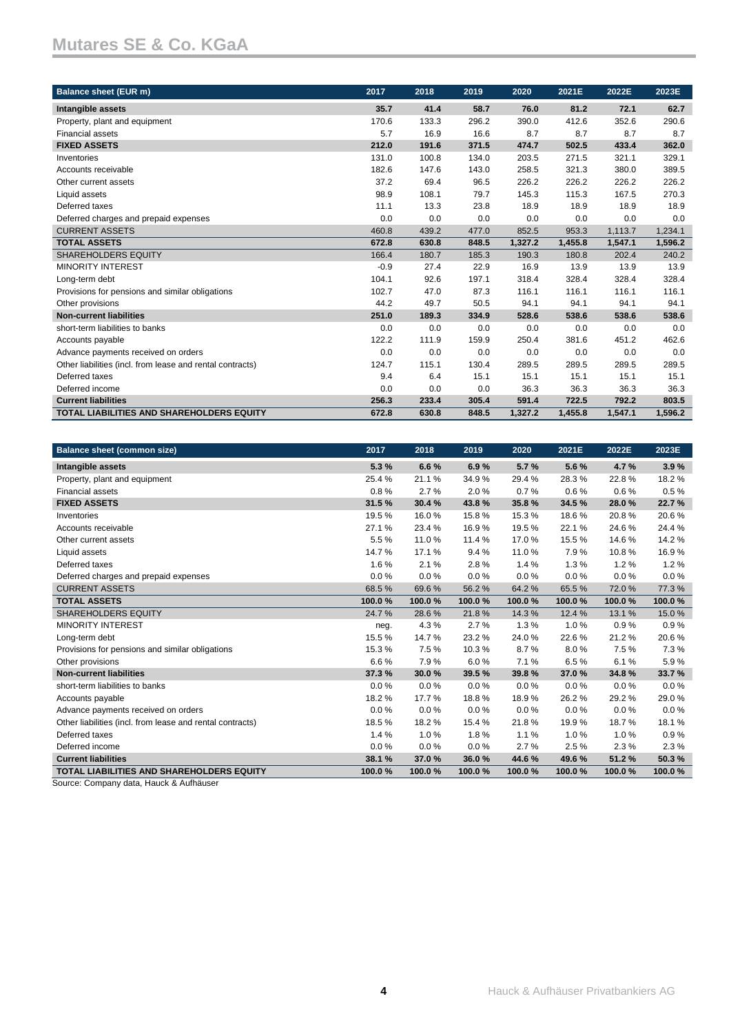| <b>Balance sheet (EUR m)</b>                              | 2017   | 2018  | 2019  | 2020    | 2021E   | 2022E   | 2023E   |
|-----------------------------------------------------------|--------|-------|-------|---------|---------|---------|---------|
| Intangible assets                                         | 35.7   | 41.4  | 58.7  | 76.0    | 81.2    | 72.1    | 62.7    |
| Property, plant and equipment                             | 170.6  | 133.3 | 296.2 | 390.0   | 412.6   | 352.6   | 290.6   |
| <b>Financial assets</b>                                   | 5.7    | 16.9  | 16.6  | 8.7     | 8.7     | 8.7     | 8.7     |
| <b>FIXED ASSETS</b>                                       | 212.0  | 191.6 | 371.5 | 474.7   | 502.5   | 433.4   | 362.0   |
| Inventories                                               | 131.0  | 100.8 | 134.0 | 203.5   | 271.5   | 321.1   | 329.1   |
| Accounts receivable                                       | 182.6  | 147.6 | 143.0 | 258.5   | 321.3   | 380.0   | 389.5   |
| Other current assets                                      | 37.2   | 69.4  | 96.5  | 226.2   | 226.2   | 226.2   | 226.2   |
| Liquid assets                                             | 98.9   | 108.1 | 79.7  | 145.3   | 115.3   | 167.5   | 270.3   |
| Deferred taxes                                            | 11.1   | 13.3  | 23.8  | 18.9    | 18.9    | 18.9    | 18.9    |
| Deferred charges and prepaid expenses                     | 0.0    | 0.0   | 0.0   | 0.0     | 0.0     | 0.0     | 0.0     |
| <b>CURRENT ASSETS</b>                                     | 460.8  | 439.2 | 477.0 | 852.5   | 953.3   | 1,113.7 | 1,234.1 |
| <b>TOTAL ASSETS</b>                                       | 672.8  | 630.8 | 848.5 | 1,327.2 | 1,455.8 | 1,547.1 | 1,596.2 |
| <b>SHAREHOLDERS EQUITY</b>                                | 166.4  | 180.7 | 185.3 | 190.3   | 180.8   | 202.4   | 240.2   |
| <b>MINORITY INTEREST</b>                                  | $-0.9$ | 27.4  | 22.9  | 16.9    | 13.9    | 13.9    | 13.9    |
| Long-term debt                                            | 104.1  | 92.6  | 197.1 | 318.4   | 328.4   | 328.4   | 328.4   |
| Provisions for pensions and similar obligations           | 102.7  | 47.0  | 87.3  | 116.1   | 116.1   | 116.1   | 116.1   |
| Other provisions                                          | 44.2   | 49.7  | 50.5  | 94.1    | 94.1    | 94.1    | 94.1    |
| <b>Non-current liabilities</b>                            | 251.0  | 189.3 | 334.9 | 528.6   | 538.6   | 538.6   | 538.6   |
| short-term liabilities to banks                           | 0.0    | 0.0   | 0.0   | 0.0     | 0.0     | 0.0     | 0.0     |
| Accounts payable                                          | 122.2  | 111.9 | 159.9 | 250.4   | 381.6   | 451.2   | 462.6   |
| Advance payments received on orders                       | 0.0    | 0.0   | 0.0   | 0.0     | 0.0     | 0.0     | 0.0     |
| Other liabilities (incl. from lease and rental contracts) | 124.7  | 115.1 | 130.4 | 289.5   | 289.5   | 289.5   | 289.5   |
| Deferred taxes                                            | 9.4    | 6.4   | 15.1  | 15.1    | 15.1    | 15.1    | 15.1    |
| Deferred income                                           | 0.0    | 0.0   | 0.0   | 36.3    | 36.3    | 36.3    | 36.3    |
| <b>Current liabilities</b>                                | 256.3  | 233.4 | 305.4 | 591.4   | 722.5   | 792.2   | 803.5   |
| <b>TOTAL LIABILITIES AND SHAREHOLDERS EQUITY</b>          | 672.8  | 630.8 | 848.5 | 1.327.2 | 1,455.8 | 1,547.1 | 1,596.2 |

| <b>Balance sheet (common size)</b>                        | 2017   | 2018   | 2019   | 2020   | 2021E  | 2022E  | 2023E  |
|-----------------------------------------------------------|--------|--------|--------|--------|--------|--------|--------|
| Intangible assets                                         | 5.3%   | 6.6%   | 6.9%   | 5.7%   | 5.6%   | 4.7%   | 3.9%   |
| Property, plant and equipment                             | 25.4%  | 21.1%  | 34.9%  | 29.4%  | 28.3%  | 22.8%  | 18.2%  |
| <b>Financial assets</b>                                   | 0.8%   | 2.7%   | 2.0%   | 0.7%   | 0.6%   | 0.6%   | 0.5%   |
| <b>FIXED ASSETS</b>                                       | 31.5 % | 30.4%  | 43.8%  | 35.8%  | 34.5%  | 28.0%  | 22.7%  |
| Inventories                                               | 19.5 % | 16.0%  | 15.8%  | 15.3%  | 18.6%  | 20.8%  | 20.6%  |
| Accounts receivable                                       | 27.1 % | 23.4 % | 16.9%  | 19.5%  | 22.1%  | 24.6%  | 24.4%  |
| Other current assets                                      | 5.5%   | 11.0%  | 11.4 % | 17.0%  | 15.5%  | 14.6%  | 14.2%  |
| Liquid assets                                             | 14.7%  | 17.1%  | 9.4%   | 11.0%  | 7.9%   | 10.8%  | 16.9%  |
| Deferred taxes                                            | 1.6%   | 2.1%   | 2.8%   | 1.4%   | 1.3%   | 1.2%   | 1.2%   |
| Deferred charges and prepaid expenses                     | 0.0%   | 0.0%   | 0.0%   | 0.0%   | 0.0%   | 0.0%   | 0.0%   |
| <b>CURRENT ASSETS</b>                                     | 68.5%  | 69.6%  | 56.2%  | 64.2%  | 65.5%  | 72.0%  | 77.3%  |
| <b>TOTAL ASSETS</b>                                       | 100.0% | 100.0% | 100.0% | 100.0% | 100.0% | 100.0% | 100.0% |
| <b>SHAREHOLDERS EQUITY</b>                                | 24.7%  | 28.6%  | 21.8%  | 14.3%  | 12.4 % | 13.1 % | 15.0%  |
| <b>MINORITY INTEREST</b>                                  | neg.   | 4.3%   | 2.7%   | 1.3%   | 1.0%   | 0.9%   | 0.9%   |
| Long-term debt                                            | 15.5%  | 14.7%  | 23.2%  | 24.0%  | 22.6%  | 21.2%  | 20.6%  |
| Provisions for pensions and similar obligations           | 15.3%  | 7.5%   | 10.3%  | 8.7%   | 8.0%   | 7.5%   | 7.3%   |
| Other provisions                                          | 6.6%   | 7.9%   | 6.0%   | 7.1%   | 6.5%   | 6.1%   | 5.9%   |
| <b>Non-current liabilities</b>                            | 37.3%  | 30.0%  | 39.5%  | 39.8%  | 37.0%  | 34.8%  | 33.7%  |
| short-term liabilities to banks                           | 0.0%   | 0.0%   | 0.0%   | 0.0%   | 0.0%   | 0.0%   | 0.0%   |
| Accounts payable                                          | 18.2%  | 17.7%  | 18.8%  | 18.9%  | 26.2%  | 29.2%  | 29.0%  |
| Advance payments received on orders                       | 0.0%   | 0.0%   | 0.0%   | 0.0%   | 0.0%   | 0.0%   | 0.0%   |
| Other liabilities (incl. from lease and rental contracts) | 18.5%  | 18.2%  | 15.4 % | 21.8%  | 19.9%  | 18.7%  | 18.1%  |
| Deferred taxes                                            | 1.4%   | 1.0%   | 1.8%   | 1.1%   | 1.0%   | 1.0%   | 0.9%   |
| Deferred income                                           | 0.0%   | 0.0%   | 0.0%   | 2.7%   | 2.5%   | 2.3%   | 2.3%   |
| <b>Current liabilities</b>                                | 38.1 % | 37.0%  | 36.0%  | 44.6%  | 49.6%  | 51.2%  | 50.3%  |
| <b>TOTAL LIABILITIES AND SHAREHOLDERS EQUITY</b>          | 100.0% | 100.0% | 100.0% | 100.0% | 100.0% | 100.0% | 100.0% |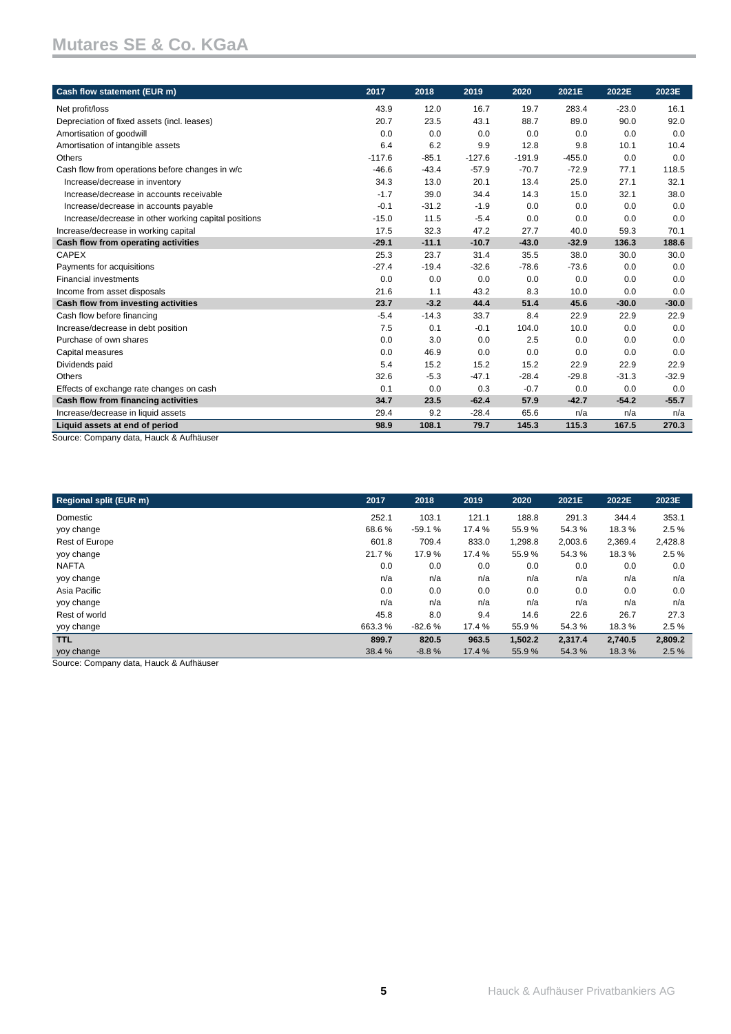| Cash flow statement (EUR m)                                               | 2017     | 2018    | 2019     | 2020     | 2021E    | 2022E   | 2023E   |
|---------------------------------------------------------------------------|----------|---------|----------|----------|----------|---------|---------|
| Net profit/loss                                                           | 43.9     | 12.0    | 16.7     | 19.7     | 283.4    | $-23.0$ | 16.1    |
| Depreciation of fixed assets (incl. leases)                               | 20.7     | 23.5    | 43.1     | 88.7     | 89.0     | 90.0    | 92.0    |
| Amortisation of goodwill                                                  | 0.0      | 0.0     | 0.0      | 0.0      | 0.0      | 0.0     | 0.0     |
| Amortisation of intangible assets                                         | 6.4      | 6.2     | 9.9      | 12.8     | 9.8      | 10.1    | 10.4    |
| Others                                                                    | $-117.6$ | $-85.1$ | $-127.6$ | $-191.9$ | $-455.0$ | 0.0     | 0.0     |
| Cash flow from operations before changes in w/c                           | $-46.6$  | $-43.4$ | $-57.9$  | $-70.7$  | $-72.9$  | 77.1    | 118.5   |
| Increase/decrease in inventory                                            | 34.3     | 13.0    | 20.1     | 13.4     | 25.0     | 27.1    | 32.1    |
| Increase/decrease in accounts receivable                                  | $-1.7$   | 39.0    | 34.4     | 14.3     | 15.0     | 32.1    | 38.0    |
| Increase/decrease in accounts payable                                     | $-0.1$   | $-31.2$ | $-1.9$   | 0.0      | 0.0      | 0.0     | 0.0     |
| Increase/decrease in other working capital positions                      | $-15.0$  | 11.5    | $-5.4$   | 0.0      | 0.0      | 0.0     | 0.0     |
| Increase/decrease in working capital                                      | 17.5     | 32.3    | 47.2     | 27.7     | 40.0     | 59.3    | 70.1    |
| Cash flow from operating activities                                       | $-29.1$  | $-11.1$ | $-10.7$  | $-43.0$  | $-32.9$  | 136.3   | 188.6   |
| <b>CAPEX</b>                                                              | 25.3     | 23.7    | 31.4     | 35.5     | 38.0     | 30.0    | 30.0    |
| Payments for acquisitions                                                 | $-27.4$  | $-19.4$ | $-32.6$  | $-78.6$  | $-73.6$  | 0.0     | 0.0     |
| <b>Financial investments</b>                                              | 0.0      | 0.0     | 0.0      | 0.0      | 0.0      | 0.0     | 0.0     |
| Income from asset disposals                                               | 21.6     | 1.1     | 43.2     | 8.3      | 10.0     | 0.0     | 0.0     |
| Cash flow from investing activities                                       | 23.7     | $-3.2$  | 44.4     | 51.4     | 45.6     | $-30.0$ | $-30.0$ |
| Cash flow before financing                                                | $-5.4$   | $-14.3$ | 33.7     | 8.4      | 22.9     | 22.9    | 22.9    |
| Increase/decrease in debt position                                        | 7.5      | 0.1     | $-0.1$   | 104.0    | 10.0     | 0.0     | 0.0     |
| Purchase of own shares                                                    | 0.0      | 3.0     | 0.0      | 2.5      | 0.0      | 0.0     | 0.0     |
| Capital measures                                                          | 0.0      | 46.9    | 0.0      | 0.0      | 0.0      | 0.0     | 0.0     |
| Dividends paid                                                            | 5.4      | 15.2    | 15.2     | 15.2     | 22.9     | 22.9    | 22.9    |
| Others                                                                    | 32.6     | $-5.3$  | $-47.1$  | $-28.4$  | $-29.8$  | $-31.3$ | $-32.9$ |
| Effects of exchange rate changes on cash                                  | 0.1      | 0.0     | 0.3      | $-0.7$   | 0.0      | 0.0     | 0.0     |
| Cash flow from financing activities                                       | 34.7     | 23.5    | $-62.4$  | 57.9     | $-42.7$  | $-54.2$ | $-55.7$ |
| Increase/decrease in liquid assets                                        | 29.4     | 9.2     | $-28.4$  | 65.6     | n/a      | n/a     | n/a     |
| Liquid assets at end of period<br>Course: Company data Hough & Authöriser | 98.9     | 108.1   | 79.7     | 145.3    | 115.3    | 167.5   | 270.3   |

Source: Company data, Hauck & Aufhäuser

| 2017   | 2018     | 2019   | 2020    | 2021E   | 2022E   | 2023E   |
|--------|----------|--------|---------|---------|---------|---------|
| 252.1  | 103.1    | 121.1  | 188.8   | 291.3   | 344.4   | 353.1   |
| 68.6%  | $-59.1%$ | 17.4 % | 55.9%   | 54.3%   | 18.3%   | 2.5%    |
| 601.8  | 709.4    | 833.0  | 1,298.8 | 2,003.6 | 2,369.4 | 2,428.8 |
| 21.7%  | 17.9%    | 17.4 % | 55.9%   | 54.3%   | 18.3%   | 2.5%    |
| 0.0    | 0.0      | 0.0    | 0.0     | 0.0     | 0.0     | 0.0     |
| n/a    | n/a      | n/a    | n/a     | n/a     | n/a     | n/a     |
| 0.0    | 0.0      | 0.0    | 0.0     | 0.0     | 0.0     | 0.0     |
| n/a    | n/a      | n/a    | n/a     | n/a     | n/a     | n/a     |
| 45.8   | 8.0      | 9.4    | 14.6    | 22.6    | 26.7    | 27.3    |
| 663.3% | $-82.6%$ | 17.4 % | 55.9%   | 54.3%   | 18.3%   | 2.5%    |
| 899.7  | 820.5    | 963.5  | 1,502.2 | 2,317.4 | 2,740.5 | 2,809.2 |
| 38.4 % | $-8.8%$  | 17.4 % | 55.9%   | 54.3%   | 18.3%   | 2.5%    |
|        |          |        |         |         |         |         |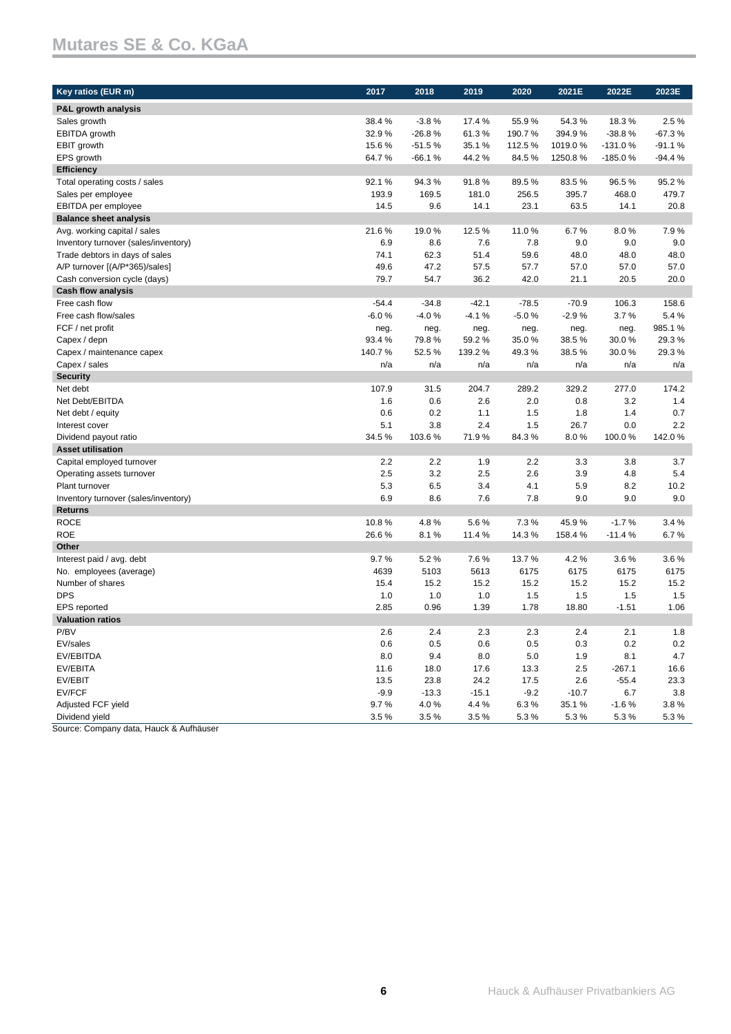| Key ratios (EUR m)                   | 2017    | 2018     | 2019    | 2020    | 2021E   | 2022E     | 2023E    |
|--------------------------------------|---------|----------|---------|---------|---------|-----------|----------|
| P&L growth analysis                  |         |          |         |         |         |           |          |
| Sales growth                         | 38.4%   | $-3.8%$  | 17.4 %  | 55.9%   | 54.3%   | 18.3%     | 2.5%     |
| <b>EBITDA</b> growth                 | 32.9%   | $-26.8%$ | 61.3%   | 190.7%  | 394.9%  | $-38.8%$  | $-67.3%$ |
| EBIT growth                          | 15.6%   | $-51.5%$ | 35.1%   | 112.5%  | 1019.0% | $-131.0%$ | $-91.1%$ |
| EPS growth                           | 64.7%   | $-66.1%$ | 44.2%   | 84.5%   | 1250.8% | $-185.0%$ | $-94.4%$ |
| <b>Efficiency</b>                    |         |          |         |         |         |           |          |
| Total operating costs / sales        | 92.1%   | 94.3%    | 91.8%   | 89.5%   | 83.5%   | 96.5%     | 95.2%    |
| Sales per employee                   | 193.9   | 169.5    | 181.0   | 256.5   | 395.7   | 468.0     | 479.7    |
| EBITDA per employee                  | 14.5    | 9.6      | 14.1    | 23.1    | 63.5    | 14.1      | 20.8     |
| <b>Balance sheet analysis</b>        |         |          |         |         |         |           |          |
| Avg. working capital / sales         | 21.6%   | 19.0%    | 12.5%   | 11.0%   | 6.7%    | 8.0%      | 7.9%     |
| Inventory turnover (sales/inventory) | 6.9     | 8.6      | 7.6     | 7.8     | 9.0     | 9.0       | 9.0      |
| Trade debtors in days of sales       | 74.1    | 62.3     | 51.4    | 59.6    | 48.0    | 48.0      | 48.0     |
| A/P turnover [(A/P*365)/sales]       | 49.6    | 47.2     | 57.5    | 57.7    | 57.0    | 57.0      | 57.0     |
| Cash conversion cycle (days)         | 79.7    | 54.7     | 36.2    | 42.0    | 21.1    | 20.5      | 20.0     |
| <b>Cash flow analysis</b>            |         |          |         |         |         |           |          |
| Free cash flow                       | $-54.4$ | $-34.8$  | $-42.1$ | $-78.5$ | $-70.9$ | 106.3     | 158.6    |
| Free cash flow/sales                 | $-6.0%$ | $-4.0%$  | $-4.1%$ | $-5.0%$ | $-2.9%$ | 3.7%      | 5.4%     |
| FCF / net profit                     | neg.    | neg.     | neg.    | neg.    | neg.    | neg.      | 985.1%   |
| Capex / depn                         | 93.4 %  | 79.8%    | 59.2%   | 35.0%   | 38.5%   | 30.0%     | 29.3%    |
| Capex / maintenance capex            | 140.7%  | 52.5%    | 139.2 % | 49.3%   | 38.5%   | 30.0%     | 29.3%    |
| Capex / sales                        | n/a     | n/a      | n/a     | n/a     | n/a     | n/a       | n/a      |
| <b>Security</b>                      |         |          |         |         |         |           |          |
| Net debt                             | 107.9   | 31.5     | 204.7   | 289.2   | 329.2   | 277.0     | 174.2    |
| Net Debt/EBITDA                      | 1.6     | 0.6      | 2.6     | 2.0     | 0.8     | 3.2       | 1.4      |
| Net debt / equity                    | 0.6     | 0.2      | 1.1     | 1.5     | 1.8     | 1.4       | 0.7      |
| Interest cover                       | 5.1     | 3.8      | 2.4     | 1.5     | 26.7    | 0.0       | 2.2      |
| Dividend payout ratio                | 34.5%   | 103.6%   | 71.9%   | 84.3%   | 8.0%    | 100.0%    | 142.0%   |
| <b>Asset utilisation</b>             |         |          |         |         |         |           |          |
| Capital employed turnover            | 2.2     | 2.2      | 1.9     | 2.2     | 3.3     | 3.8       | 3.7      |
| Operating assets turnover            | 2.5     | 3.2      | 2.5     | 2.6     | 3.9     | 4.8       | 5.4      |
| Plant turnover                       | 5.3     | 6.5      | 3.4     | 4.1     | 5.9     | 8.2       | 10.2     |
| Inventory turnover (sales/inventory) | 6.9     | 8.6      | 7.6     | 7.8     | 9.0     | 9.0       | 9.0      |
| <b>Returns</b>                       |         |          |         |         |         |           |          |
| <b>ROCE</b>                          | 10.8%   | 4.8%     | 5.6%    | 7.3%    | 45.9%   | $-1.7%$   | 3.4%     |
| <b>ROE</b>                           | 26.6%   | 8.1%     | 11.4%   | 14.3%   | 158.4%  | $-11.4%$  | 6.7%     |
| Other                                |         |          |         |         |         |           |          |
| Interest paid / avg. debt            | 9.7%    | 5.2%     | 7.6%    | 13.7%   | 4.2%    | 3.6%      | 3.6%     |
| No. employees (average)              | 4639    | 5103     | 5613    | 6175    | 6175    | 6175      | 6175     |
| Number of shares                     | 15.4    | 15.2     | 15.2    | 15.2    | 15.2    | 15.2      | 15.2     |
| <b>DPS</b>                           | 1.0     | 1.0      | 1.0     | 1.5     | 1.5     | 1.5       | 1.5      |
| <b>EPS</b> reported                  | 2.85    | 0.96     | 1.39    | 1.78    | 18.80   | $-1.51$   | 1.06     |
| <b>Valuation ratios</b>              |         |          |         |         |         |           |          |
| P/BV                                 | $2.6\,$ | 2.4      | 2.3     | $2.3\,$ | 2.4     | 2.1       | 1.8      |
| EV/sales                             | 0.6     | 0.5      | 0.6     | 0.5     | 0.3     | 0.2       | $0.2\,$  |
| EV/EBITDA                            | 8.0     | 9.4      | 8.0     | $5.0\,$ | 1.9     | 8.1       | 4.7      |
| EV/EBITA                             | 11.6    | 18.0     | 17.6    | 13.3    | 2.5     | $-267.1$  | 16.6     |
| EV/EBIT                              | 13.5    | 23.8     | 24.2    | 17.5    | 2.6     | $-55.4$   | 23.3     |
| EV/FCF                               | $-9.9$  | $-13.3$  | $-15.1$ | $-9.2$  | $-10.7$ | 6.7       | 3.8      |
| Adjusted FCF yield                   | 9.7%    | 4.0%     | 4.4%    | 6.3%    | 35.1%   | $-1.6%$   | 3.8%     |
| Dividend yield                       | 3.5%    | 3.5%     | 3.5%    | 5.3%    | 5.3%    | 5.3%      | 5.3%     |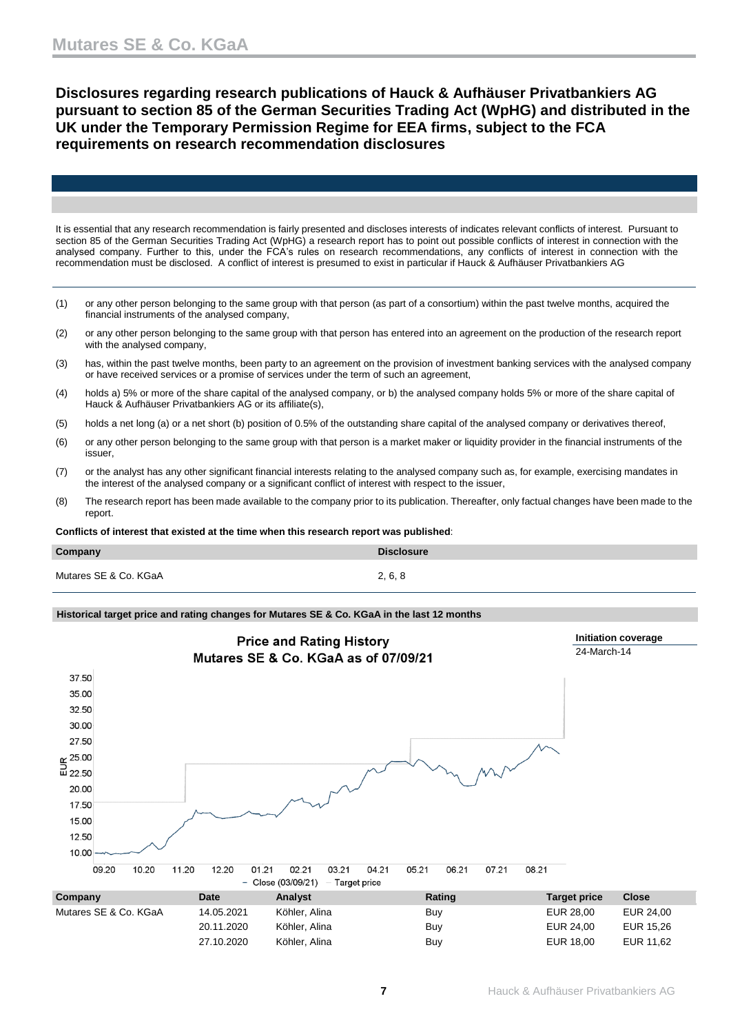**Disclosures regarding research publications of Hauck & Aufhäuser Privatbankiers AG pursuant to section 85 of the German Securities Trading Act (WpHG) and distributed in the UK under the Temporary Permission Regime for EEA firms, subject to the FCA requirements on research recommendation disclosures**

It is essential that any research recommendation is fairly presented and discloses interests of indicates relevant conflicts of interest. Pursuant to section 85 of the German Securities Trading Act (WpHG) a research report has to point out possible conflicts of interest in connection with the analysed company. Further to this, under the FCA's rules on research recommendations, any conflicts of interest in connection with the recommendation must be disclosed. A conflict of interest is presumed to exist in particular if Hauck & Aufhäuser Privatbankiers AG

- (1) or any other person belonging to the same group with that person (as part of a consortium) within the past twelve months, acquired the financial instruments of the analysed company,
- (2) or any other person belonging to the same group with that person has entered into an agreement on the production of the research report with the analysed company,
- (3) has, within the past twelve months, been party to an agreement on the provision of investment banking services with the analysed company or have received services or a promise of services under the term of such an agreement,
- (4) holds a) 5% or more of the share capital of the analysed company, or b) the analysed company holds 5% or more of the share capital of Hauck & Aufhäuser Privatbankiers AG or its affiliate(s),
- (5) holds a net long (a) or a net short (b) position of 0.5% of the outstanding share capital of the analysed company or derivatives thereof,
- (6) or any other person belonging to the same group with that person is a market maker or liquidity provider in the financial instruments of the issuer,
- (7) or the analyst has any other significant financial interests relating to the analysed company such as, for example, exercising mandates in the interest of the analysed company or a significant conflict of interest with respect to the issuer,
- (8) The research report has been made available to the company prior to its publication. Thereafter, only factual changes have been made to the report.

**Conflicts of interest that existed at the time when this research report was published**:

| Company               | <b>Disclosure</b> |
|-----------------------|-------------------|
| Mutares SE & Co. KGaA | 2, 6, 8           |

### **Historical target price and rating changes for Mutares SE & Co. KGaA in the last 12 months**

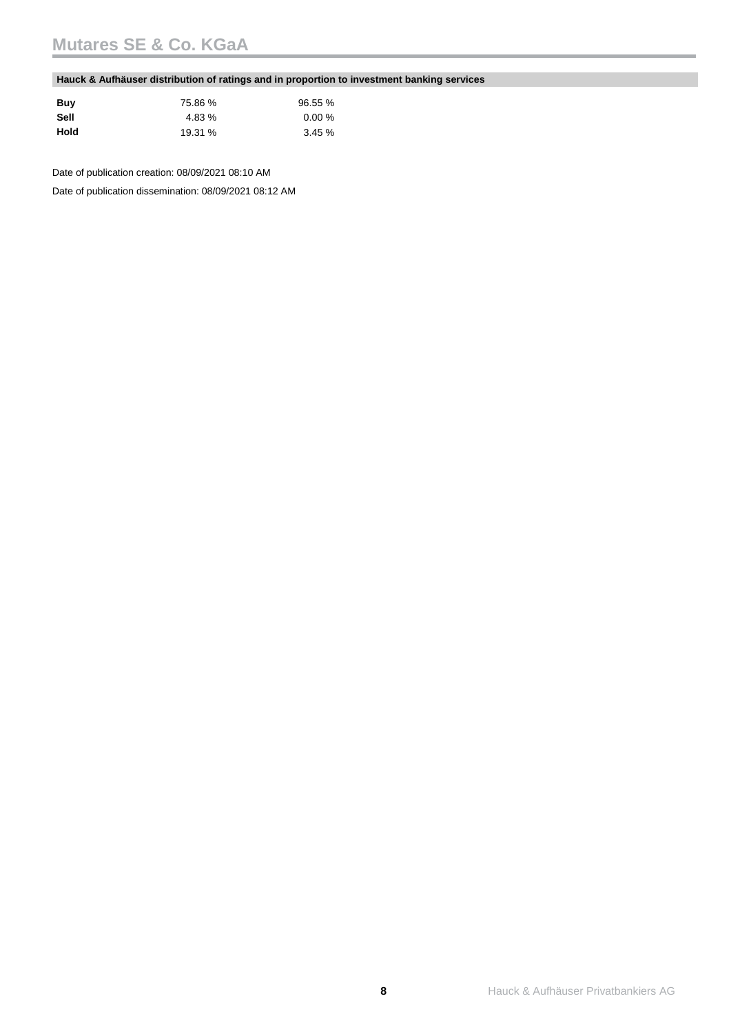### **Hauck & Aufhäuser distribution of ratings and in proportion to investment banking services**

| Buy  | 75.86 % | 96.55 % |
|------|---------|---------|
| Sell | 4.83 %  | 0.00%   |
| Hold | 19.31 % | 3.45%   |

Date of publication creation: 08/09/2021 08:10 AM

Date of publication dissemination: 08/09/2021 08:12 AM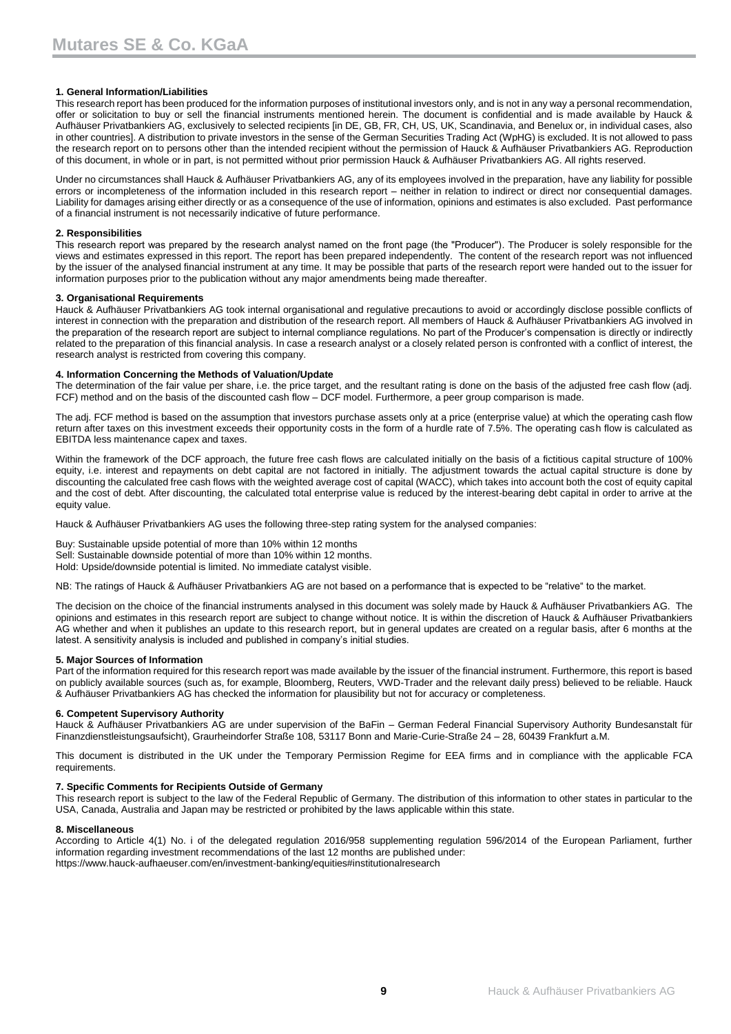### **1. General Information/Liabilities**

This research report has been produced for the information purposes of institutional investors only, and is not in any way a personal recommendation, offer or solicitation to buy or sell the financial instruments mentioned herein. The document is confidential and is made available by Hauck & Aufhäuser Privatbankiers AG, exclusively to selected recipients [in DE, GB, FR, CH, US, UK, Scandinavia, and Benelux or, in individual cases, also in other countries]. A distribution to private investors in the sense of the German Securities Trading Act (WpHG) is excluded. It is not allowed to pass the research report on to persons other than the intended recipient without the permission of Hauck & Aufhäuser Privatbankiers AG. Reproduction of this document, in whole or in part, is not permitted without prior permission Hauck & Aufhäuser Privatbankiers AG. All rights reserved.

Under no circumstances shall Hauck & Aufhäuser Privatbankiers AG, any of its employees involved in the preparation, have any liability for possible errors or incompleteness of the information included in this research report – neither in relation to indirect or direct nor consequential damages. Liability for damages arising either directly or as a consequence of the use of information, opinions and estimates is also excluded. Past performance of a financial instrument is not necessarily indicative of future performance.

### **2. Responsibilities**

This research report was prepared by the research analyst named on the front page (the "Producer"). The Producer is solely responsible for the views and estimates expressed in this report. The report has been prepared independently. The content of the research report was not influenced by the issuer of the analysed financial instrument at any time. It may be possible that parts of the research report were handed out to the issuer for information purposes prior to the publication without any major amendments being made thereafter.

### **3. Organisational Requirements**

Hauck & Aufhäuser Privatbankiers AG took internal organisational and regulative precautions to avoid or accordingly disclose possible conflicts of interest in connection with the preparation and distribution of the research report. All members of Hauck & Aufhäuser Privatbankiers AG involved in the preparation of the research report are subject to internal compliance regulations. No part of the Producer's compensation is directly or indirectly related to the preparation of this financial analysis. In case a research analyst or a closely related person is confronted with a conflict of interest, the research analyst is restricted from covering this company.

### **4. Information Concerning the Methods of Valuation/Update**

The determination of the fair value per share, i.e. the price target, and the resultant rating is done on the basis of the adjusted free cash flow (adj. FCF) method and on the basis of the discounted cash flow – DCF model. Furthermore, a peer group comparison is made.

The adj. FCF method is based on the assumption that investors purchase assets only at a price (enterprise value) at which the operating cash flow return after taxes on this investment exceeds their opportunity costs in the form of a hurdle rate of 7.5%. The operating cash flow is calculated as EBITDA less maintenance capex and taxes.

Within the framework of the DCF approach, the future free cash flows are calculated initially on the basis of a fictitious capital structure of 100% equity, i.e. interest and repayments on debt capital are not factored in initially. The adjustment towards the actual capital structure is done by discounting the calculated free cash flows with the weighted average cost of capital (WACC), which takes into account both the cost of equity capital and the cost of debt. After discounting, the calculated total enterprise value is reduced by the interest-bearing debt capital in order to arrive at the equity value.

Hauck & Aufhäuser Privatbankiers AG uses the following three-step rating system for the analysed companies:

Buy: Sustainable upside potential of more than 10% within 12 months Sell: Sustainable downside potential of more than 10% within 12 months. Hold: Upside/downside potential is limited. No immediate catalyst visible.

NB: The ratings of Hauck & Aufhäuser Privatbankiers AG are not based on a performance that is expected to be "relative" to the market.

The decision on the choice of the financial instruments analysed in this document was solely made by Hauck & Aufhäuser Privatbankiers AG. The opinions and estimates in this research report are subject to change without notice. It is within the discretion of Hauck & Aufhäuser Privatbankiers AG whether and when it publishes an update to this research report, but in general updates are created on a regular basis, after 6 months at the latest. A sensitivity analysis is included and published in company's initial studies.

#### **5. Major Sources of Information**

Part of the information required for this research report was made available by the issuer of the financial instrument. Furthermore, this report is based on publicly available sources (such as, for example, Bloomberg, Reuters, VWD-Trader and the relevant daily press) believed to be reliable. Hauck & Aufhäuser Privatbankiers AG has checked the information for plausibility but not for accuracy or completeness.

### **6. Competent Supervisory Authority**

Hauck & Aufhäuser Privatbankiers AG are under supervision of the BaFin – German Federal Financial Supervisory Authority Bundesanstalt für Finanzdienstleistungsaufsicht), Graurheindorfer Straße 108, 53117 Bonn and Marie-Curie-Straße 24 – 28, 60439 Frankfurt a.M.

This document is distributed in the UK under the Temporary Permission Regime for EEA firms and in compliance with the applicable FCA requirements.

#### **7. Specific Comments for Recipients Outside of Germany**

This research report is subject to the law of the Federal Republic of Germany. The distribution of this information to other states in particular to the USA, Canada, Australia and Japan may be restricted or prohibited by the laws applicable within this state.

#### **8. Miscellaneous**

According to Article 4(1) No. i of the delegated regulation 2016/958 supplementing regulation 596/2014 of the European Parliament, further information regarding investment recommendations of the last 12 months are published under: https://www.hauck-aufhaeuser.com/en/investment-banking/equities#institutionalresearch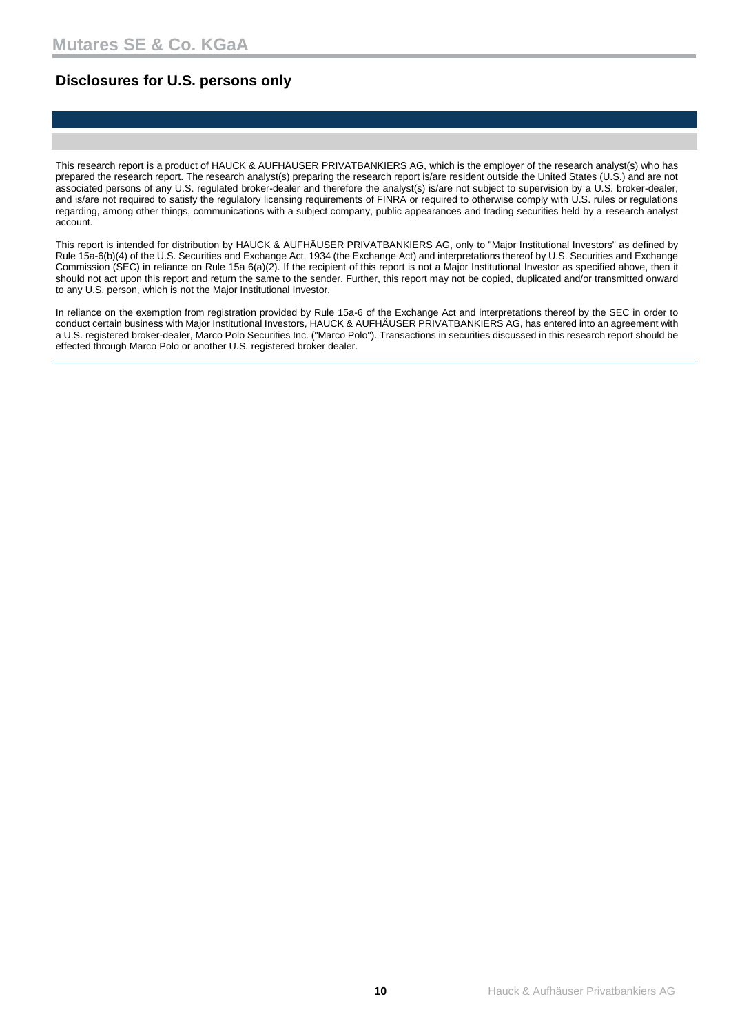### **Disclosures for U.S. persons only**

This research report is a product of HAUCK & AUFHÄUSER PRIVATBANKIERS AG, which is the employer of the research analyst(s) who has prepared the research report. The research analyst(s) preparing the research report is/are resident outside the United States (U.S.) and are not associated persons of any U.S. regulated broker-dealer and therefore the analyst(s) is/are not subject to supervision by a U.S. broker-dealer, and is/are not required to satisfy the regulatory licensing requirements of FINRA or required to otherwise comply with U.S. rules or regulations regarding, among other things, communications with a subject company, public appearances and trading securities held by a research analyst account.

This report is intended for distribution by HAUCK & AUFHÄUSER PRIVATBANKIERS AG, only to "Major Institutional Investors" as defined by Rule 15a-6(b)(4) of the U.S. Securities and Exchange Act, 1934 (the Exchange Act) and interpretations thereof by U.S. Securities and Exchange Commission (SEC) in reliance on Rule 15a 6(a)(2). If the recipient of this report is not a Major Institutional Investor as specified above, then it should not act upon this report and return the same to the sender. Further, this report may not be copied, duplicated and/or transmitted onward to any U.S. person, which is not the Major Institutional Investor.

In reliance on the exemption from registration provided by Rule 15a-6 of the Exchange Act and interpretations thereof by the SEC in order to conduct certain business with Major Institutional Investors, HAUCK & AUFHÄUSER PRIVATBANKIERS AG, has entered into an agreement with a U.S. registered broker-dealer, Marco Polo Securities Inc. ("Marco Polo"). Transactions in securities discussed in this research report should be effected through Marco Polo or another U.S. registered broker dealer.